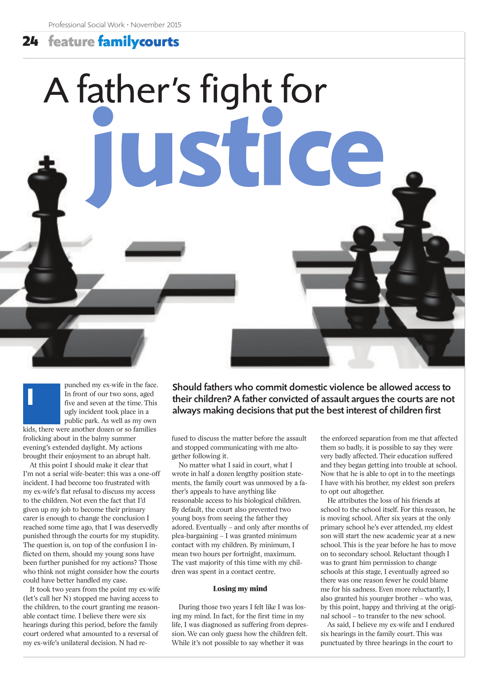# **24 feature familycourts**

# A father's fight for JStice

punched my ex-wife in the face. In front of our two sons, aged five and seven at the time. This ugly incident took place in a public park. As well as my own

kids, there were another dozen or so families frolicking about in the balmy summer evening's extended daylight. My actions brought their enjoyment to an abrupt halt.

**I**

At this point I should make it clear that I'm not a serial wife-beater: this was a one-off incident. I had become too frustrated with my ex-wife's flat refusal to discuss my access to the children. Not even the fact that I'd given up my job to become their primary carer is enough to change the conclusion I reached some time ago, that I was deservedly punished through the courts for my stupidity. The question is, on top of the confusion I inflicted on them, should my young sons have been further punished for my actions? Those who think not might consider how the courts could have better handled my case.

It took two years from the point my ex-wife (let's call her N) stopped me having access to the children, to the court granting me reasonable contact time. I believe there were six hearings during this period, before the family court ordered what amounted to a reversal of my ex-wife's unilateral decision. N had reShould fathers who commit domestic violence be allowed access to their children? A father convicted of assault argues the courts are not always making decisions that put the best interest of children first

fused to discuss the matter before the assault and stopped communicating with me altogether following it.

No matter what I said in court, what I wrote in half a dozen lengthy position statements, the family court was unmoved by a father's appeals to have anything like reasonable access to his biological children. By default, the court also prevented two young boys from seeing the father they adored. Eventually – and only after months of plea-bargaining – I was granted minimum contact with my children. By minimum, I mean two hours per fortnight, maximum. The vast majority of this time with my children was spent in a contact centre.

## **Losing my mind**

During those two years I felt like I was losing my mind. In fact, for the first time in my life, I was diagnosed as suffering from depression. We can only guess how the children felt. While it's not possible to say whether it was

the enforced separation from me that affected them so badly, it is possible to say they were very badly affected. Their education suffered and they began getting into trouble at school. Now that he is able to opt in to the meetings I have with his brother, my eldest son prefers to opt out altogether.

He attributes the loss of his friends at school to the school itself. For this reason, he is moving school. After six years at the only primary school he's ever attended, my eldest son will start the new academic year at a new school. This is the year before he has to move on to secondary school. Reluctant though I was to grant him permission to change schools at this stage, I eventually agreed so there was one reason fewer he could blame me for his sadness. Even more reluctantly, I also granted his younger brother – who was, by this point, happy and thriving at the original school – to transfer to the new school.

As said, I believe my ex-wife and I endured six hearings in the family court. This was punctuated by three hearings in the court to